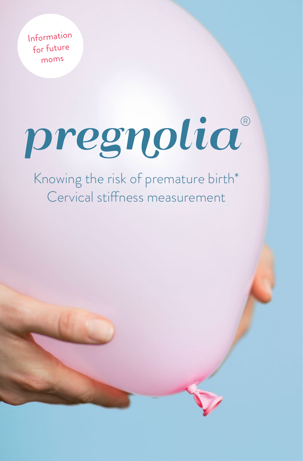Information for future moms

# pregnolia®

## Knowing the risk of premature birth\* Cervical stiffness measurement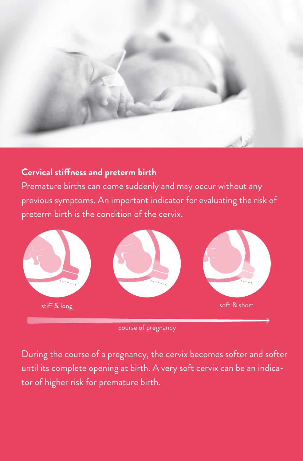

#### **Cervical stiffness and preterm birth**

Premature births can come suddenly and may occur without any previous symptoms. An important indicator for evaluating the risk of preterm birth is the condition of the cervix.



course of pregnancy

During the course of a pregnancy, the cervix becomes softer and softer until its complete opening at birth. A very soft cervix can be an indicator of higher risk for premature birth.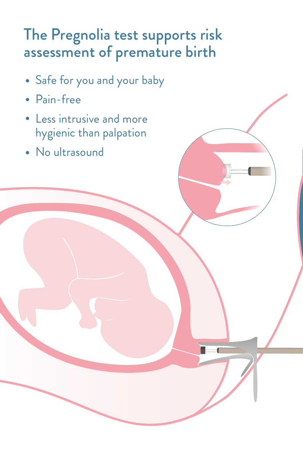# The Pregnolia test supports risk assessment of premature birth

- Safe for you and your baby
- Pain-free
- Less intrusive and more hygienic than palpation
- No ultrasound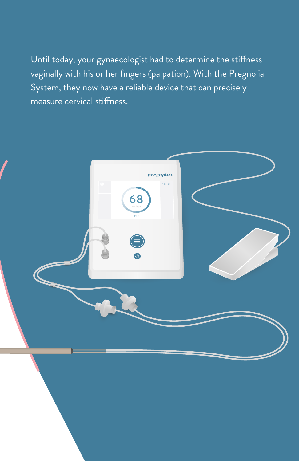Until today, your gynaecologist had to determine the stiffness vaginally with his or her fingers (palpation). With the Pregnolia System, they now have a reliable device that can precisely measure cervical stiffness.

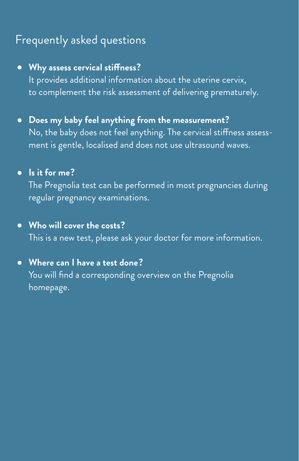### Frequently asked questions

#### **Why assess cervical stiffness?**

It provides additional information about the uterine cervix, to complement the risk assessment of delivering prematurely.

**Does my baby feel anything from the measurement?** No, the baby does not feel anything. The cervical stiffness assessment is gentle, localised and does not use ultrasound waves.

#### **Is it for me?**

The Pregnolia test can be performed in most pregnancies during regular pregnancy examinations.

#### **Who will cover the costs?**

This is a new test, please ask your doctor for more information.

#### **Where can I have a test done?**

You will find a corresponding overview on the Pregnolia homepage.